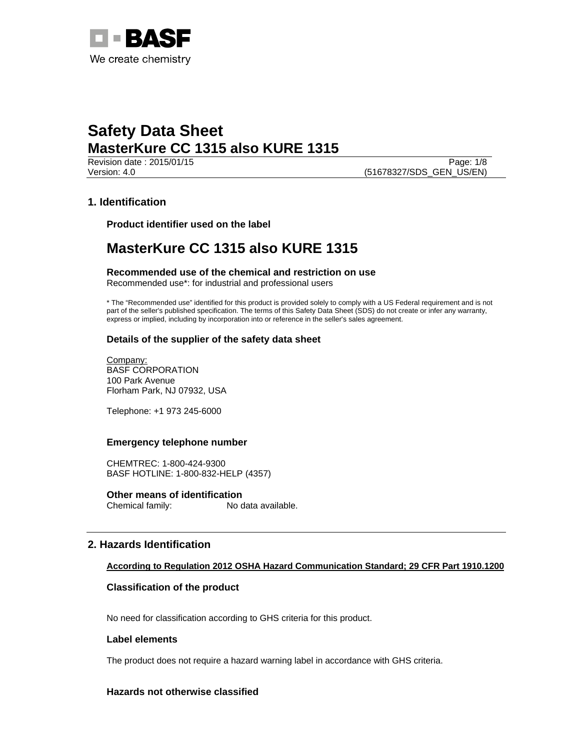

Revision date : 2015/01/15 Page: 1/8 Version: 4.0 (51678327/SDS\_GEN\_US/EN)

## **1. Identification**

**Product identifier used on the label** 

## **MasterKure CC 1315 also KURE 1315**

**Recommended use of the chemical and restriction on use**  Recommended use\*: for industrial and professional users

\* The "Recommended use" identified for this product is provided solely to comply with a US Federal requirement and is not part of the seller's published specification. The terms of this Safety Data Sheet (SDS) do not create or infer any warranty, express or implied, including by incorporation into or reference in the seller's sales agreement.

## **Details of the supplier of the safety data sheet**

Company: BASF CORPORATION 100 Park Avenue Florham Park, NJ 07932, USA

Telephone: +1 973 245-6000

### **Emergency telephone number**

CHEMTREC: 1-800-424-9300 BASF HOTLINE: 1-800-832-HELP (4357)

**Other means of identification**<br>Chemical family: No c No data available.

## **2. Hazards Identification**

## **According to Regulation 2012 OSHA Hazard Communication Standard; 29 CFR Part 1910.1200**

### **Classification of the product**

No need for classification according to GHS criteria for this product.

### **Label elements**

The product does not require a hazard warning label in accordance with GHS criteria.

### **Hazards not otherwise classified**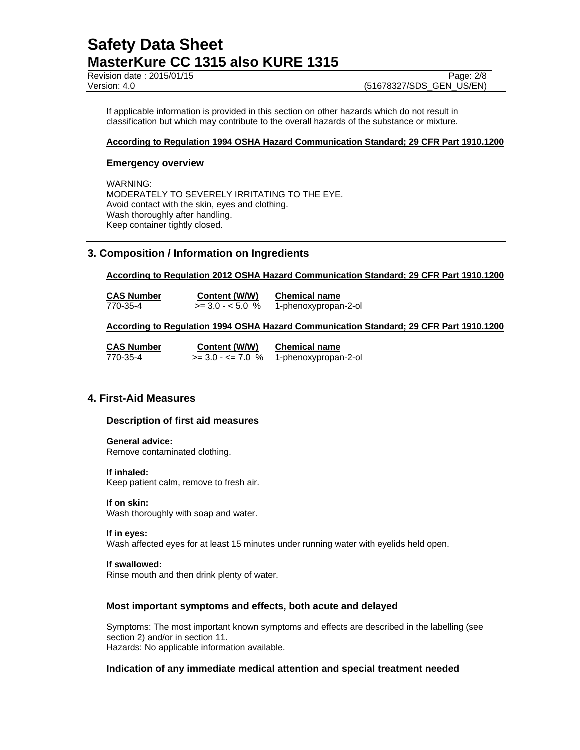Revision date : 2015/01/15 Page: 2/8

Version: 4.0 (51678327/SDS\_GEN\_US/EN)

If applicable information is provided in this section on other hazards which do not result in classification but which may contribute to the overall hazards of the substance or mixture.

### **According to Regulation 1994 OSHA Hazard Communication Standard; 29 CFR Part 1910.1200**

### **Emergency overview**

WARNING: MODERATELY TO SEVERELY IRRITATING TO THE EYE. Avoid contact with the skin, eyes and clothing. Wash thoroughly after handling. Keep container tightly closed.

## **3. Composition / Information on Ingredients**

**According to Regulation 2012 OSHA Hazard Communication Standard; 29 CFR Part 1910.1200** 

**CAS Number Content (W/W) Chemical name** 770-35-4 >= 3.0 - < 5.0 % 1-phenoxypropan-2-ol

### **According to Regulation 1994 OSHA Hazard Communication Standard; 29 CFR Part 1910.1200**

| <b>CAS Number</b> | Content (W/W)        | <b>Chemical name</b> |  |
|-------------------|----------------------|----------------------|--|
| 770-35-4          | $>= 3.0 - 5 = 7.0$ % | 1-phenoxypropan-2-ol |  |

## **4. First-Aid Measures**

### **Description of first aid measures**

### **General advice:**

Remove contaminated clothing.

### **If inhaled:**

Keep patient calm, remove to fresh air.

### **If on skin:**

Wash thoroughly with soap and water.

#### **If in eyes:**

Wash affected eyes for at least 15 minutes under running water with eyelids held open.

### **If swallowed:**

Rinse mouth and then drink plenty of water.

### **Most important symptoms and effects, both acute and delayed**

Symptoms: The most important known symptoms and effects are described in the labelling (see section 2) and/or in section 11. Hazards: No applicable information available.

### **Indication of any immediate medical attention and special treatment needed**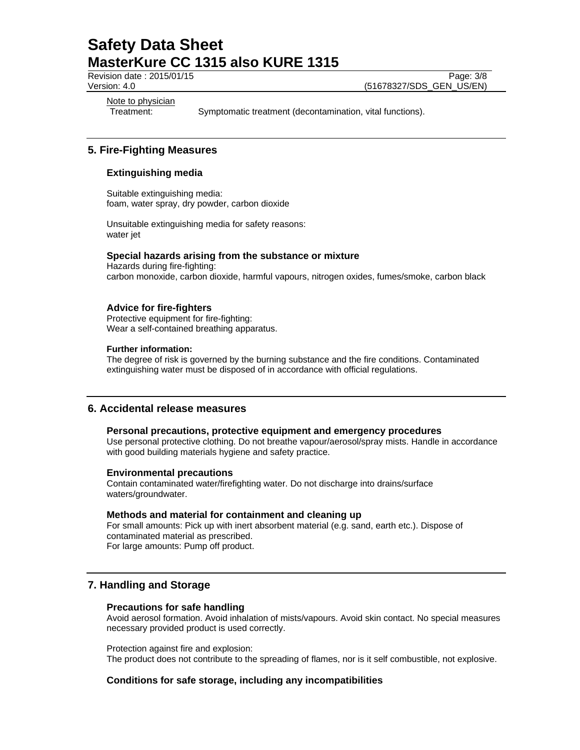Revision date : 2015/01/15 Page: 3/8

Version: 4.0 (51678327/SDS\_GEN\_US/EN)

Note to physician

Treatment: Symptomatic treatment (decontamination, vital functions).

## **5. Fire-Fighting Measures**

## **Extinguishing media**

Suitable extinguishing media: foam, water spray, dry powder, carbon dioxide

Unsuitable extinguishing media for safety reasons: water jet

### **Special hazards arising from the substance or mixture**

Hazards during fire-fighting: carbon monoxide, carbon dioxide, harmful vapours, nitrogen oxides, fumes/smoke, carbon black

### **Advice for fire-fighters**

Protective equipment for fire-fighting: Wear a self-contained breathing apparatus.

### **Further information:**

The degree of risk is governed by the burning substance and the fire conditions. Contaminated extinguishing water must be disposed of in accordance with official regulations.

## **6. Accidental release measures**

### **Personal precautions, protective equipment and emergency procedures**

Use personal protective clothing. Do not breathe vapour/aerosol/spray mists. Handle in accordance with good building materials hygiene and safety practice.

### **Environmental precautions**

Contain contaminated water/firefighting water. Do not discharge into drains/surface waters/groundwater.

### **Methods and material for containment and cleaning up**

For small amounts: Pick up with inert absorbent material (e.g. sand, earth etc.). Dispose of contaminated material as prescribed. For large amounts: Pump off product.

## **7. Handling and Storage**

### **Precautions for safe handling**

Avoid aerosol formation. Avoid inhalation of mists/vapours. Avoid skin contact. No special measures necessary provided product is used correctly.

Protection against fire and explosion: The product does not contribute to the spreading of flames, nor is it self combustible, not explosive.

## **Conditions for safe storage, including any incompatibilities**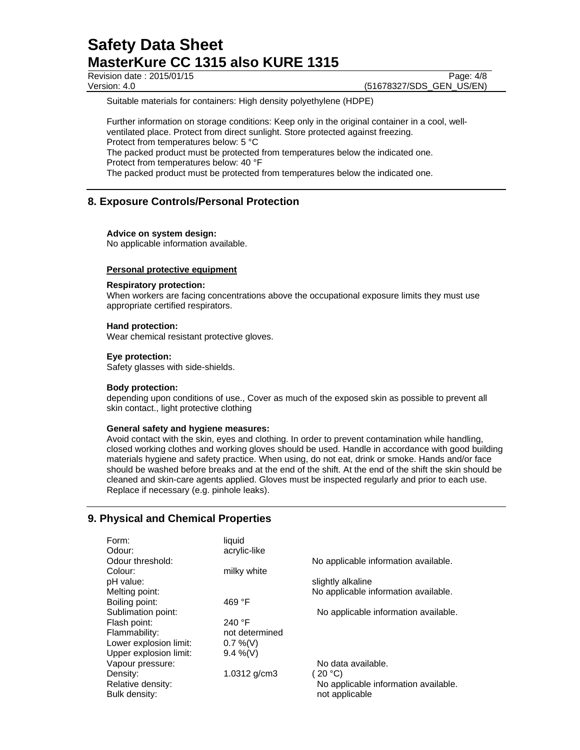Revision date : 2015/01/15 Page: 4/8

Version: 4.0 (51678327/SDS\_GEN\_US/EN)

Suitable materials for containers: High density polyethylene (HDPE)

Further information on storage conditions: Keep only in the original container in a cool, wellventilated place. Protect from direct sunlight. Store protected against freezing. Protect from temperatures below: 5 °C The packed product must be protected from temperatures below the indicated one. Protect from temperatures below: 40 °F The packed product must be protected from temperatures below the indicated one.

## **8. Exposure Controls/Personal Protection**

### **Advice on system design:**

No applicable information available.

### **Personal protective equipment**

### **Respiratory protection:**

When workers are facing concentrations above the occupational exposure limits they must use appropriate certified respirators.

### **Hand protection:**

Wear chemical resistant protective gloves.

### **Eye protection:**

Safety glasses with side-shields.

### **Body protection:**

depending upon conditions of use., Cover as much of the exposed skin as possible to prevent all skin contact., light protective clothing

### **General safety and hygiene measures:**

Avoid contact with the skin, eyes and clothing. In order to prevent contamination while handling, closed working clothes and working gloves should be used. Handle in accordance with good building materials hygiene and safety practice. When using, do not eat, drink or smoke. Hands and/or face should be washed before breaks and at the end of the shift. At the end of the shift the skin should be cleaned and skin-care agents applied. Gloves must be inspected regularly and prior to each use. Replace if necessary (e.g. pinhole leaks).

## **9. Physical and Chemical Properties**

| Form:<br>Odour:        | liquid<br>acrylic-like |                                      |
|------------------------|------------------------|--------------------------------------|
| Odour threshold:       |                        | No applicable information available. |
| Colour:                | milky white            |                                      |
| pH value:              |                        | slightly alkaline                    |
| Melting point:         |                        | No applicable information available. |
| Boiling point:         | 469 $\degree$ F        |                                      |
| Sublimation point:     |                        | No applicable information available. |
| Flash point:           | 240 $\degree$ F        |                                      |
| Flammability:          | not determined         |                                      |
| Lower explosion limit: | $0.7\%$ (V)            |                                      |
| Upper explosion limit: | $9.4\%$ (V)            |                                      |
| Vapour pressure:       |                        | No data available.                   |
| Density:               | 1.0312 $g/cm3$         | (20 °C)                              |
| Relative density:      |                        | No applicable information available. |
| Bulk density:          |                        | not applicable                       |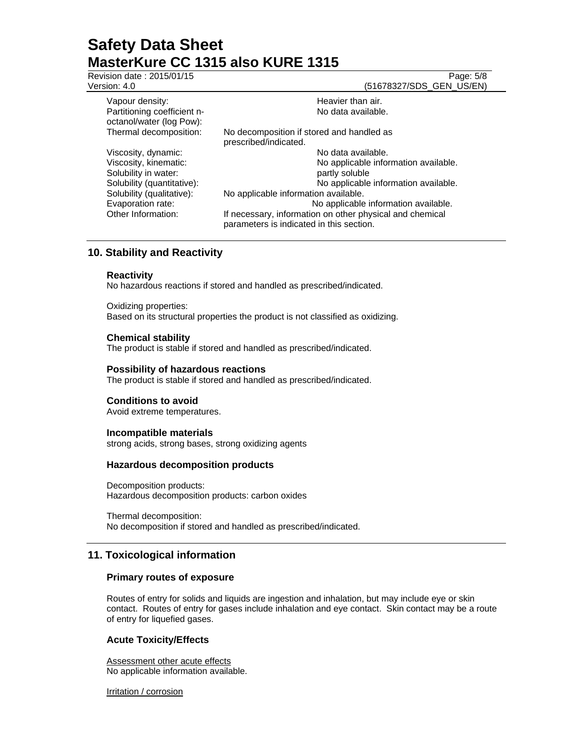Revision date : 2015/01/15 Page: 5/8

Version: 4.0 (51678327/SDS\_GEN\_US/EN)

| Vapour density:<br>Partitioning coefficient n-<br>octanol/water (log Pow): | Heavier than air.<br>No data available.                                                              |  |
|----------------------------------------------------------------------------|------------------------------------------------------------------------------------------------------|--|
| Thermal decomposition:                                                     | No decomposition if stored and handled as<br>prescribed/indicated.                                   |  |
| Viscosity, dynamic:                                                        | No data available.                                                                                   |  |
| Viscosity, kinematic:<br>Solubility in water:                              | No applicable information available.<br>partly soluble                                               |  |
| Solubility (quantitative):                                                 | No applicable information available.                                                                 |  |
| Solubility (qualitative):                                                  | No applicable information available.                                                                 |  |
| Evaporation rate:                                                          | No applicable information available.                                                                 |  |
| Other Information:                                                         | If necessary, information on other physical and chemical<br>parameters is indicated in this section. |  |
|                                                                            |                                                                                                      |  |

## **10. Stability and Reactivity**

### **Reactivity**

No hazardous reactions if stored and handled as prescribed/indicated.

Oxidizing properties: Based on its structural properties the product is not classified as oxidizing.

### **Chemical stability**

The product is stable if stored and handled as prescribed/indicated.

### **Possibility of hazardous reactions**

The product is stable if stored and handled as prescribed/indicated.

### **Conditions to avoid**

Avoid extreme temperatures.

### **Incompatible materials**

strong acids, strong bases, strong oxidizing agents

### **Hazardous decomposition products**

Decomposition products: Hazardous decomposition products: carbon oxides

Thermal decomposition: No decomposition if stored and handled as prescribed/indicated.

## **11. Toxicological information**

### **Primary routes of exposure**

Routes of entry for solids and liquids are ingestion and inhalation, but may include eye or skin contact. Routes of entry for gases include inhalation and eye contact. Skin contact may be a route of entry for liquefied gases.

## **Acute Toxicity/Effects**

Assessment other acute effects No applicable information available.

Irritation / corrosion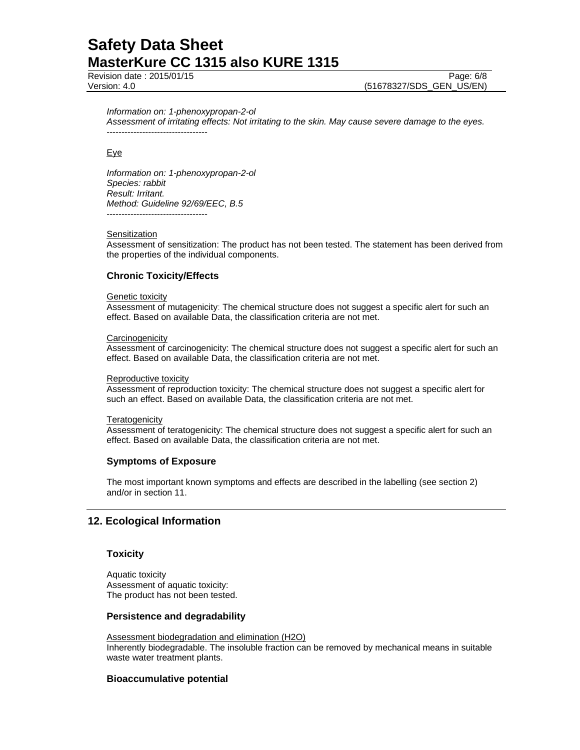Revision date : 2015/01/15 Page: 6/8

Version: 4.0 (51678327/SDS\_GEN\_US/EN)

#### *Information on: 1-phenoxypropan-2-ol*

*Assessment of irritating effects: Not irritating to the skin. May cause severe damage to the eyes.*  ----------------------------------

### Eye

*Information on: 1-phenoxypropan-2-ol Species: rabbit Result: Irritant. Method: Guideline 92/69/EEC, B.5*  ----------------------------------

### **Sensitization**

Assessment of sensitization: The product has not been tested. The statement has been derived from the properties of the individual components.

## **Chronic Toxicity/Effects**

### **Genetic toxicity**

Assessment of mutagenicity: The chemical structure does not suggest a specific alert for such an effect. Based on available Data, the classification criteria are not met.

### **Carcinogenicity**

Assessment of carcinogenicity: The chemical structure does not suggest a specific alert for such an effect. Based on available Data, the classification criteria are not met.

#### Reproductive toxicity

Assessment of reproduction toxicity: The chemical structure does not suggest a specific alert for such an effect. Based on available Data, the classification criteria are not met.

### **Teratogenicity**

Assessment of teratogenicity: The chemical structure does not suggest a specific alert for such an effect. Based on available Data, the classification criteria are not met.

### **Symptoms of Exposure**

The most important known symptoms and effects are described in the labelling (see section 2) and/or in section 11.

## **12. Ecological Information**

### **Toxicity**

Aquatic toxicity Assessment of aquatic toxicity: The product has not been tested.

### **Persistence and degradability**

Assessment biodegradation and elimination (H2O) Inherently biodegradable. The insoluble fraction can be removed by mechanical means in suitable waste water treatment plants.

### **Bioaccumulative potential**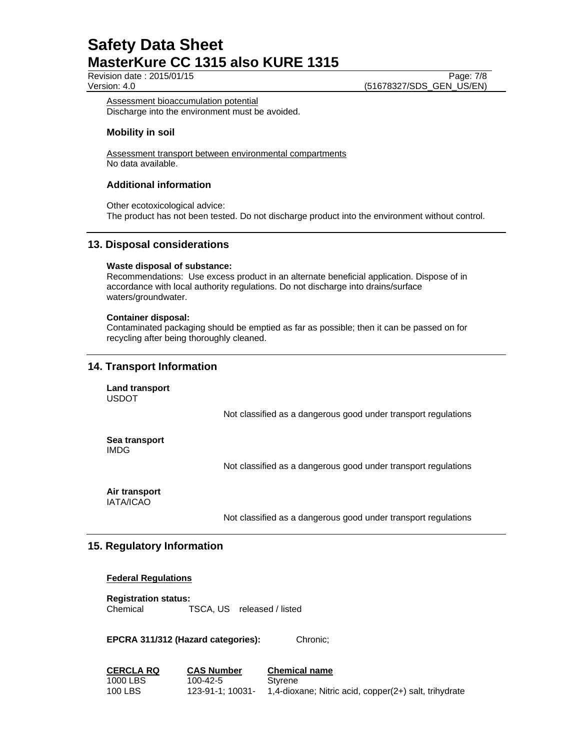Revision date : 2015/01/15 Page: 7/8

Version: 4.0 (51678327/SDS\_GEN\_US/EN)

Assessment bioaccumulation potential Discharge into the environment must be avoided.

### **Mobility in soil**

Assessment transport between environmental compartments No data available.

### **Additional information**

Other ecotoxicological advice: The product has not been tested. Do not discharge product into the environment without control.

## **13. Disposal considerations**

### **Waste disposal of substance:**

Recommendations: Use excess product in an alternate beneficial application. Dispose of in accordance with local authority regulations. Do not discharge into drains/surface waters/groundwater.

### **Container disposal:**

Contaminated packaging should be emptied as far as possible; then it can be passed on for recycling after being thoroughly cleaned.

## **14. Transport Information**

**Land transport**  USDOT

Not classified as a dangerous good under transport regulations

**Sea transport**  IMDG

Not classified as a dangerous good under transport regulations

#### **Air transport**  IATA/ICAO

Not classified as a dangerous good under transport regulations

## **15. Regulatory Information**

### **Federal Regulations**

**Registration status:**  Chemical TSCA, US released / listed

**EPCRA 311/312 (Hazard categories):** Chronic;

| <b>CERCLA RQ</b> | <b>CAS Number</b> | <b>Chemical name</b>                                  |
|------------------|-------------------|-------------------------------------------------------|
| 1000 LBS         | 100-42-5          | Styrene                                               |
| 100 LBS          | 123-91-1: 10031-  | 1,4-dioxane; Nitric acid, copper(2+) salt, trihydrate |